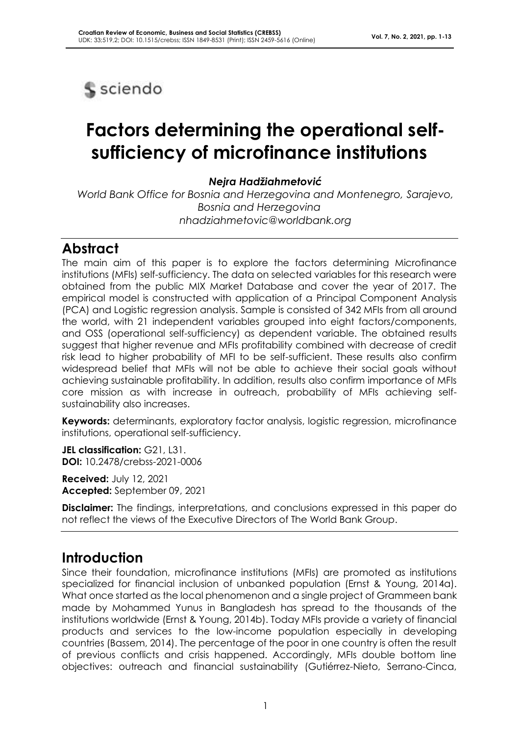

# **Factors determining the operational selfsufficiency of microfinance institutions**

#### *Nejra Hadžiahmetović*

*World Bank Office for Bosnia and Herzegovina and Montenegro, Sarajevo, Bosnia and Herzegovina nhadziahmetovic@worldbank.org*

### **Abstract**

The main aim of this paper is to explore the factors determining Microfinance institutions (MFIs) self-sufficiency. The data on selected variables for this research were obtained from the public MIX Market Database and cover the year of 2017. The empirical model is constructed with application of a Principal Component Analysis (PCA) and Logistic regression analysis. Sample is consisted of 342 MFIs from all around the world, with 21 independent variables grouped into eight factors/components, and OSS (operational self-sufficiency) as dependent variable. The obtained results suggest that higher revenue and MFIs profitability combined with decrease of credit risk lead to higher probability of MFI to be self-sufficient. These results also confirm widespread belief that MFIs will not be able to achieve their social goals without achieving sustainable profitability. In addition, results also confirm importance of MFIs core mission as with increase in outreach, probability of MFIs achieving selfsustainability also increases.

**Keywords:** determinants, exploratory factor analysis, logistic regression, microfinance institutions, operational self-sufficiency.

**JEL classification:** G21, L31. **DOI:** 10.2478/crebss-2021-0006

**Received:** July 12, 2021 **Accepted:** September 09, 2021

**Disclaimer:** The findings, interpretations, and conclusions expressed in this paper do not reflect the views of the Executive Directors of The World Bank Group.

## **Introduction**

Since their foundation, microfinance institutions (MFIs) are promoted as institutions specialized for financial inclusion of unbanked population (Ernst & Young, 2014a). What once started as the local phenomenon and a single project of Grammeen bank made by Mohammed Yunus in Bangladesh has spread to the thousands of the institutions worldwide (Ernst & Young, 2014b). Today MFIs provide a variety of financial products and services to the low-income population especially in developing countries (Bassem, 2014). The percentage of the poor in one country is often the result of previous conflicts and crisis happened. Accordingly, MFIs double bottom line objectives: outreach and financial sustainability (Gutiérrez-Nieto, Serrano-Cinca,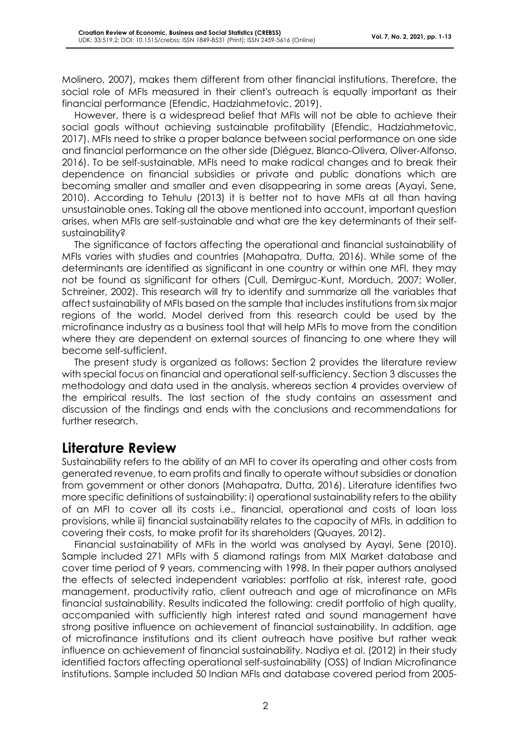Molinero, 2007), makes them different from other financial institutions. Therefore, the social role of MFIs measured in their client's outreach is equally important as their financial performance (Efendic, Hadziahmetovic, 2019).

However, there is a widespread belief that MFIs will not be able to achieve their social goals without achieving sustainable profitability (Efendic, Hadziahmetovic, 2017). MFIs need to strike a proper balance between social performance on one side and financial performance on the other side (Diéguez, Blanco-Olivera, Oliver-Alfonso, 2016). To be self-sustainable, MFIs need to make radical changes and to break their dependence on financial subsidies or private and public donations which are becoming smaller and smaller and even disappearing in some areas (Ayayi, Sene, 2010). According to Tehulu (2013) it is better not to have MFIs at all than having unsustainable ones. Taking all the above mentioned into account, important question arises, when MFIs are self-sustainable and what are the key determinants of their selfsustainability?

The significance of factors affecting the operational and financial sustainability of MFIs varies with studies and countries (Mahapatra, Dutta, 2016). While some of the determinants are identified as significant in one country or within one MFI, they may not be found as significant for others (Cull, Demirguc-Kunt, Morduch, 2007; Woller, Schreiner, 2002). This research will try to identify and summarize all the variables that affect sustainability of MFIs based on the sample that includes institutions from six major regions of the world. Model derived from this research could be used by the microfinance industry as a business tool that will help MFIs to move from the condition where they are dependent on external sources of financing to one where they will become self-sufficient.

The present study is organized as follows: Section 2 provides the literature review with special focus on financial and operational self-sufficiency. Section 3 discusses the methodology and data used in the analysis, whereas section 4 provides overview of the empirical results. The last section of the study contains an assessment and discussion of the findings and ends with the conclusions and recommendations for further research.

### **Literature Review**

Sustainability refers to the ability of an MFI to cover its operating and other costs from generated revenue, to earn profits and finally to operate without subsidies or donation from government or other donors (Mahapatra, Dutta, 2016). Literature identifies two more specific definitions of sustainability: i) operational sustainability refers to the ability of an MFI to cover all its costs i.e., financial, operational and costs of loan loss provisions, while ii) financial sustainability relates to the capacity of MFIs, in addition to covering their costs, to make profit for its shareholders (Quayes, 2012).

Financial sustainability of MFIs in the world was analysed by Ayayi, Sene (2010). Sample included 271 MFIs with 5 diamond ratings from MIX Market database and cover time period of 9 years, commencing with 1998. In their paper authors analysed the effects of selected independent variables: portfolio at risk, interest rate, good management, productivity ratio, client outreach and age of microfinance on MFIs financial sustainability. Results indicated the following: credit portfolio of high quality, accompanied with sufficiently high interest rated and sound management have strong positive influence on achievement of financial sustainability. In addition, age of microfinance institutions and its client outreach have positive but rather weak influence on achievement of financial sustainability. Nadiya et al. (2012) in their study identified factors affecting operational self-sustainability (OSS) of Indian Microfinance institutions. Sample included 50 Indian MFIs and database covered period from 2005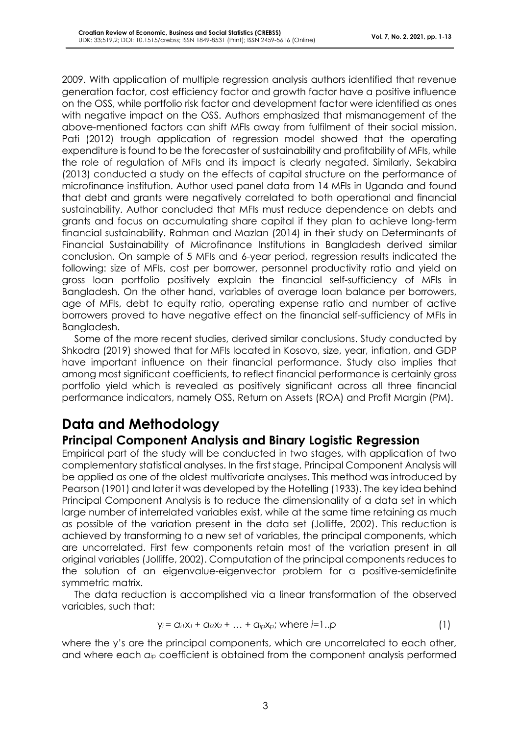2009. With application of multiple regression analysis authors identified that revenue generation factor, cost efficiency factor and growth factor have a positive influence on the OSS, while portfolio risk factor and development factor were identified as ones with negative impact on the OSS. Authors emphasized that mismanagement of the above-mentioned factors can shift MFIs away from fulfilment of their social mission. Pati (2012) trough application of regression model showed that the operating expenditure is found to be the forecaster of sustainability and profitability of MFIs, while the role of regulation of MFIs and its impact is clearly negated. Similarly, Sekabira (2013) conducted a study on the effects of capital structure on the performance of microfinance institution. Author used panel data from 14 MFIs in Uganda and found that debt and grants were negatively correlated to both operational and financial sustainability. Author concluded that MFIs must reduce dependence on debts and grants and focus on accumulating share capital if they plan to achieve long-term financial sustainability. Rahman and Mazlan (2014) in their study on Determinants of Financial Sustainability of Microfinance Institutions in Bangladesh derived similar conclusion. On sample of 5 MFIs and 6-year period, regression results indicated the following: size of MFIs, cost per borrower, personnel productivity ratio and yield on gross loan portfolio positively explain the financial self-sufficiency of MFIs in Bangladesh. On the other hand, variables of average loan balance per borrowers, age of MFIs, debt to equity ratio, operating expense ratio and number of active borrowers proved to have negative effect on the financial self-sufficiency of MFIs in Bangladesh.

Some of the more recent studies, derived similar conclusions. Study conducted by Shkodra (2019) showed that for MFIs located in Kosovo, size, year, inflation, and GDP have important influence on their financial performance. Study also implies that among most significant coefficients, to reflect financial performance is certainly gross portfolio yield which is revealed as positively significant across all three financial performance indicators, namely OSS, Return on Assets (ROA) and Profit Margin (PM).

# **Data and Methodology**

### **Principal Component Analysis and Binary Logistic Regression**

Empirical part of the study will be conducted in two stages, with application of two complementary statistical analyses. In the first stage, Principal Component Analysis will be applied as one of the oldest multivariate analyses. This method was introduced by Pearson (1901) and later it was developed by the Hotelling (1933). The key idea behind Principal Component Analysis is to reduce the dimensionality of a data set in which large number of interrelated variables exist, while at the same time retaining as much as possible of the variation present in the data set (Jolliffe, 2002). This reduction is achieved by transforming to a new set of variables, the principal components, which are uncorrelated. First few components retain most of the variation present in all original variables (Jolliffe, 2002). Computation of the principal components reduces to the solution of an eigenvalue-eigenvector problem for a positive-semidefinite symmetric matrix.

The data reduction is accomplished via a linear transformation of the observed variables, such that:

$$
y_i = a_{i1}x_1 + a_{i2}x_2 + ... + a_{ip}x_p; \text{ where } i = 1..p
$$
 (1)

where the y's are the principal components, which are uncorrelated to each other, and where each *aip* coefficient is obtained from the component analysis performed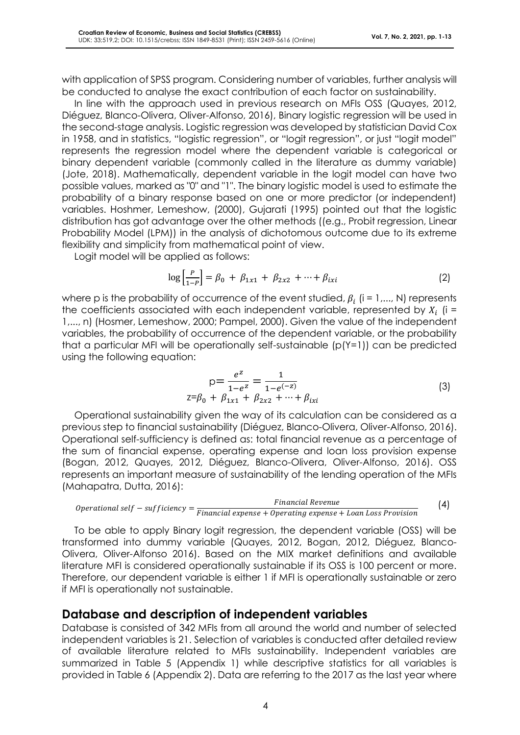with application of SPSS program. Considering number of variables, further analysis will be conducted to analyse the exact contribution of each factor on sustainability.

In line with the approach used in previous research on MFIs OSS (Quayes, 2012, Diéguez, Blanco-Olivera, Oliver-Alfonso, 2016), Binary logistic regression will be used in the second-stage analysis. Logistic regression was developed by statistician David Cox in 1958, and in statistics, "logistic regression", or "logit regression", or just "logit model" represents the regression model where the dependent variable is categorical or binary dependent variable (commonly called in the literature as dummy variable) (Jote, 2018). Mathematically, dependent variable in the logit model can have two possible values, marked as "0" and "1". The binary logistic model is used to estimate the probability of a binary response based on one or more predictor (or independent) variables. Hoshmer, Lemeshow, (2000), Gujarati (1995) pointed out that the logistic distribution has got advantage over the other methods ((e.g., Probit regression, Linear Probability Model (LPM)) in the analysis of dichotomous outcome due to its extreme flexibility and simplicity from mathematical point of view.

Logit model will be applied as follows:

$$
\log\left[\frac{P}{1-P}\right] = \beta_0 + \beta_{1x1} + \beta_{2x2} + \dots + \beta_{ixi}
$$
 (2)

where p is the probability of occurrence of the event studied,  $\beta_i$  (i = 1,..., N) represents the coefficients associated with each independent variable, represented by  $X_i$  (i = 1,..., n) (Hosmer, Lemeshow, 2000; Pampel, 2000). Given the value of the independent variables, the probability of occurrence of the dependent variable, or the probability that a particular MFI will be operationally self-sustainable (p(Y=1)) can be predicted using the following equation:

$$
p = \frac{e^z}{1 - e^z} = \frac{1}{1 - e^{(-z)}}
$$
  

$$
z = \beta_0 + \beta_{1x1} + \beta_{2x2} + \dots + \beta_{ixi}
$$
 (3)

Operational sustainability given the way of its calculation can be considered as a previous step to financial sustainability (Diéguez, Blanco-Olivera, Oliver-Alfonso, 2016). Operational self-sufficiency is defined as: total financial revenue as a percentage of the sum of financial expense, operating expense and loan loss provision expense (Bogan, 2012, Quayes, 2012, Diéguez, Blanco-Olivera, Oliver-Alfonso, 2016). OSS represents an important measure of sustainability of the lending operation of the MFIs (Mahapatra, Dutta, 2016):

*Operational self – sufficiency =* 
$$
\frac{Financial Revenue}{Financial expense + Operating expense + Loan Loss Provision}
$$
 (4)

To be able to apply Binary logit regression, the dependent variable (OSS) will be transformed into dummy variable (Quayes, 2012, Bogan, 2012, Diéguez, Blanco-Olivera, Oliver-Alfonso 2016). Based on the MIX market definitions and available literature MFI is considered operationally sustainable if its OSS is 100 percent or more. Therefore, our dependent variable is either 1 if MFI is operationally sustainable or zero if MFI is operationally not sustainable.

#### **Database and description of independent variables**

Database is consisted of 342 MFIs from all around the world and number of selected independent variables is 21. Selection of variables is conducted after detailed review of available literature related to MFIs sustainability. Independent variables are summarized in Table 5 (Appendix 1) while descriptive statistics for all variables is provided in Table 6 (Appendix 2). Data are referring to the 2017 as the last year where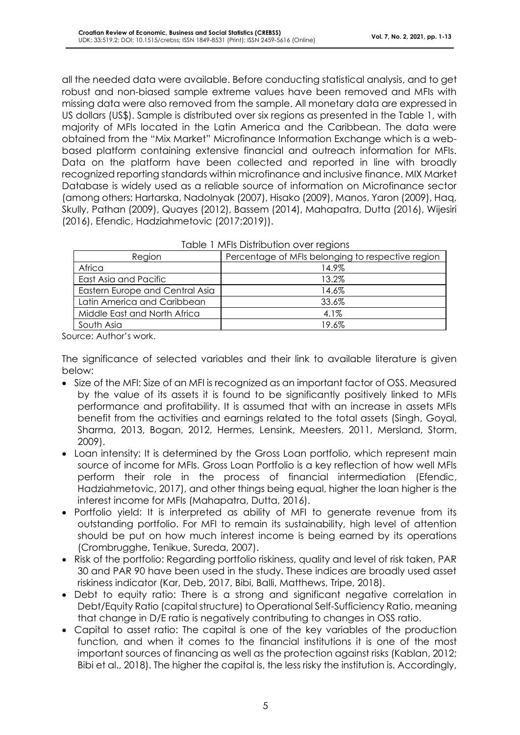all the needed data were available. Before conducting statistical analysis, and to get robust and non-biased sample extreme values have been removed and MFIs with missing data were also removed from the sample. All monetary data are expressed in US dollars (US\$). Sample is distributed over six regions as presented in the Table 1, with majority of MFIs located in the Latin America and the Caribbean. The data were obtained from the "Mix Market" Microfinance Information Exchange which is a webbased platform containing extensive financial and outreach information for MFIs. Data on the platform have been collected and reported in line with broadly recognized reporting standards within microfinance and inclusive finance. MIX Market Database is widely used as a reliable source of information on Microfinance sector (among others: Hartarska, Nadolnyak (2007), Hisako (2009), Manos, Yaron (2009), Haq, Skully, Pathan (2009), Quayes (2012), Bassem (2014), Mahapatra, Dutta (2016), Wijesiri (2016), Efendic, Hadziahmetovic (2017;2019)).

| <u>table to mind bisindulour even tegions</u> |                                                   |  |  |  |
|-----------------------------------------------|---------------------------------------------------|--|--|--|
| Region                                        | Percentage of MFIs belonging to respective region |  |  |  |
| Africa                                        | 14.9%                                             |  |  |  |
| East Asia and Pacific                         | 13.2%                                             |  |  |  |
| Eastern Europe and Central Asia               | 14.6%                                             |  |  |  |
| Latin America and Caribbean                   | 33.6%                                             |  |  |  |
| Middle East and North Africa                  | 4.1%                                              |  |  |  |
| South Asia                                    | 19.6%                                             |  |  |  |
|                                               |                                                   |  |  |  |

| Table 1 MFIs Distribution over regions |  |
|----------------------------------------|--|
|----------------------------------------|--|

Source: Author's work.

The significance of selected variables and their link to available literature is given below:

- Size of the MFI: Size of an MFI is recognized as an important factor of OSS. Measured by the value of its assets it is found to be significantly positively linked to MFIs performance and profitability. It is assumed that with an increase in assets MFIs benefit from the activities and earnings related to the total assets (Singh, Goyal, Sharma, 2013, Bogan, 2012, Hermes, Lensink, Meesters, 2011, Mersland, Storm, 2009).
- Loan intensity: It is determined by the Gross Loan portfolio, which represent main source of income for MFIs. Gross Loan Portfolio is a key reflection of how well MFIs perform their role in the process of financial intermediation (Efendic, Hadziahmetovic, 2017), and other things being equal, higher the loan higher is the interest income for MFIs (Mahapatra, Dutta, 2016).
- Portfolio yield: It is interpreted as ability of MFI to generate revenue from its outstanding portfolio. For MFI to remain its sustainability, high level of attention should be put on how much interest income is being earned by its operations (Crombrugghe, Tenikue, Sureda, 2007).
- Risk of the portfolio: Regarding portfolio riskiness, quality and level of risk taken, PAR 30 and PAR 90 have been used in the study. These indices are broadly used asset riskiness indicator (Kar, Deb, 2017, Bibi, Balli, Matthews, Tripe, 2018).
- Debt to equity ratio: There is a strong and significant negative correlation in Debt/Equity Ratio (capital structure) to Operational Self-Sufficiency Ratio, meaning that change in D/E ratio is negatively contributing to changes in OSS ratio.
- Capital to asset ratio: The capital is one of the key variables of the production function, and when it comes to the financial institutions it is one of the most important sources of financing as well as the protection against risks (Kablan, 2012; Bibi et al., 2018). The higher the capital is, the less risky the institution is. Accordingly,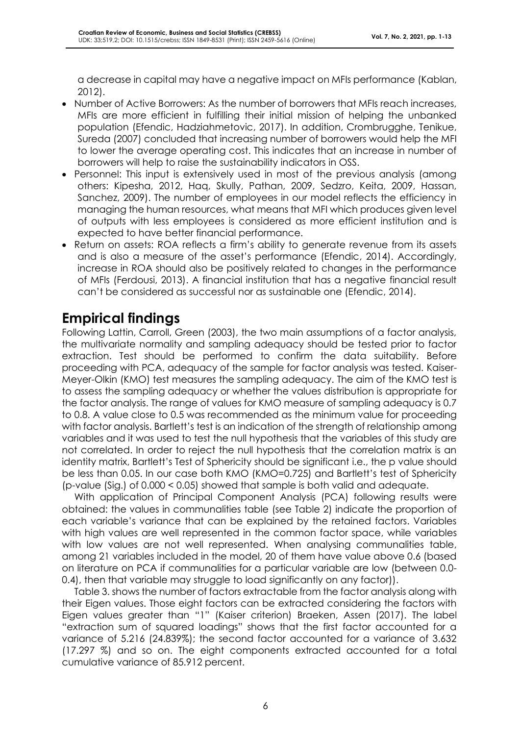a decrease in capital may have a negative impact on MFIs performance (Kablan, 2012).

- Number of Active Borrowers: As the number of borrowers that MFIs reach increases, MFIs are more efficient in fulfilling their initial mission of helping the unbanked population (Efendic, Hadziahmetovic, 2017). In addition, Crombrugghe, Tenikue, Sureda (2007) concluded that increasing number of borrowers would help the MFI to lower the average operating cost. This indicates that an increase in number of borrowers will help to raise the sustainability indicators in OSS.
- Personnel: This input is extensively used in most of the previous analysis (among others: Kipesha, 2012, Haq, Skully, Pathan, 2009, Sedzro, Keita, 2009, Hassan, Sanchez, 2009). The number of employees in our model reflects the efficiency in managing the human resources, what means that MFI which produces given level of outputs with less employees is considered as more efficient institution and is expected to have better financial performance.
- Return on assets: ROA reflects a firm's ability to generate revenue from its assets and is also a measure of the asset's performance (Efendic, 2014). Accordingly, increase in ROA should also be positively related to changes in the performance of MFIs (Ferdousi, 2013). A financial institution that has a negative financial result can't be considered as successful nor as sustainable one (Efendic, 2014).

# **Empirical findings**

Following Lattin, Carroll, Green (2003), the two main assumptions of a factor analysis, the multivariate normality and sampling adequacy should be tested prior to factor extraction. Test should be performed to confirm the data suitability. Before proceeding with PCA, adequacy of the sample for factor analysis was tested. Kaiser-Meyer-Olkin (KMO) test measures the sampling adequacy. The aim of the KMO test is to assess the sampling adequacy or whether the values distribution is appropriate for the factor analysis. The range of values for KMO measure of sampling adequacy is 0.7 to 0.8. A value close to 0.5 was recommended as the minimum value for proceeding with factor analysis. Bartlett's test is an indication of the strength of relationship among variables and it was used to test the null hypothesis that the variables of this study are not correlated. In order to reject the null hypothesis that the correlation matrix is an identity matrix, Bartlett's Test of Sphericity should be significant i.e., the p value should be less than 0.05. In our case both KMO (KMO=0.725) and Bartlett's test of Sphericity (p-value (Sig.) of 0.000 < 0.05) showed that sample is both valid and adequate.

With application of Principal Component Analysis (PCA) following results were obtained: the values in communalities table (see Table 2) indicate the proportion of each variable's variance that can be explained by the retained factors. Variables with high values are well represented in the common factor space, while variables with low values are not well represented. When analysing communalities table, among 21 variables included in the model, 20 of them have value above 0.6 (based on literature on PCA if communalities for a particular variable are low (between 0.0- 0.4), then that variable may struggle to load significantly on any factor)).

Table 3. shows the number of factors extractable from the factor analysis along with their Eigen values. Those eight factors can be extracted considering the factors with Eigen values greater than "1" (Kaiser criterion) Braeken, Assen (2017). The label "extraction sum of squared loadings" shows that the first factor accounted for a variance of 5.216 (24.839%); the second factor accounted for a variance of 3.632 (17.297 %) and so on. The eight components extracted accounted for a total cumulative variance of 85.912 percent.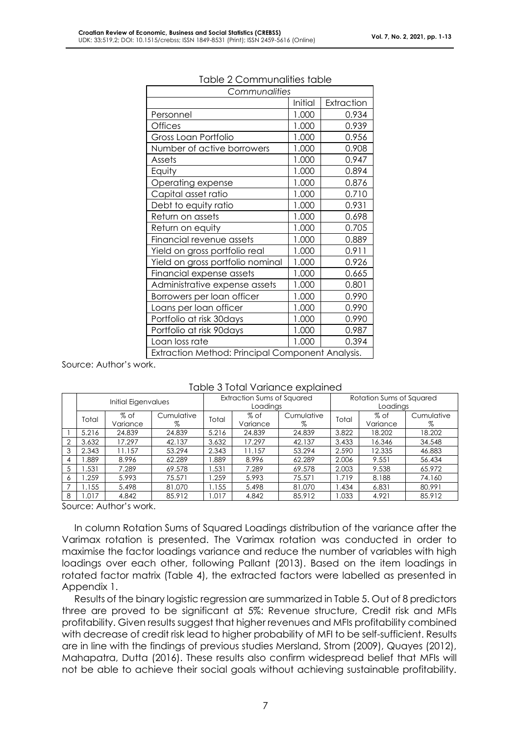| Communalities                                    |         |            |  |  |
|--------------------------------------------------|---------|------------|--|--|
|                                                  | Initial | Extraction |  |  |
| Personnel                                        | 1.000   | 0.934      |  |  |
| <b>Offices</b>                                   | 1.000   | 0.939      |  |  |
| Gross Loan Portfolio                             | 1.000   | 0.956      |  |  |
| Number of active borrowers                       | 1.000   | 0.908      |  |  |
| Assets                                           | 1.000   | 0.947      |  |  |
| Equity                                           | 1.000   | 0.894      |  |  |
| Operating expense                                | 1.000   | 0.876      |  |  |
| Capital asset ratio                              | 1.000   | 0.710      |  |  |
| Debt to equity ratio                             | 1.000   | 0.931      |  |  |
| Return on assets                                 | 1.000   | 0.698      |  |  |
| Return on equity                                 | 1.000   | 0.705      |  |  |
| Financial revenue assets                         | 1.000   | 0.889      |  |  |
| Yield on gross portfolio real                    | 1.000   | 0.911      |  |  |
| Yield on gross portfolio nominal                 | 1.000   | 0.926      |  |  |
| Financial expense assets                         | 1.000   | 0.665      |  |  |
| Administrative expense assets                    | 1.000   | 0.801      |  |  |
| Borrowers per loan officer                       | 1.000   | 0.990      |  |  |
| Loans per loan officer                           | 1.000   | 0.990      |  |  |
| Portfolio at risk 30 days                        | 1.000   | 0.990      |  |  |
| Portfolio at risk 90 days                        | 1.000   | 0.987      |  |  |
| Loan loss rate                                   | 1.000   | 0.394      |  |  |
| Extraction Method: Principal Component Analysis. |         |            |  |  |

#### Table 2 Communalities table

Source: Author's work.

|   | radio o rotal Fallatioo oxpialitoa |                  |                                        |       |                  |                                      |       |                  |                 |
|---|------------------------------------|------------------|----------------------------------------|-------|------------------|--------------------------------------|-------|------------------|-----------------|
|   | Initial Eigenvalues                |                  | Extraction Sums of Squared<br>Loadings |       |                  | Rotation Sums of Squared<br>Loadings |       |                  |                 |
|   | Total                              | % of<br>Variance | Cumulative<br>%                        | Total | % of<br>Variance | Cumulative<br>%                      | Total | % of<br>Variance | Cumulative<br>% |
|   | 5.216                              | 24.839           | 24.839                                 | 5.216 | 24.839           | 24.839                               | 3.822 | 18.202           | 18.202          |
| 2 | 3.632                              | 17.297           | 42.137                                 | 3.632 | 17.297           | 42.137                               | 3.433 | 16.346           | 34.548          |
| 3 | 2.343                              | 1.157            | 53.294                                 | 2.343 | 11.157           | 53.294                               | 2.590 | 12.335           | 46.883          |
| 4 | 889.                               | 8.996            | 62.289                                 | 1.889 | 8.996            | 62.289                               | 2.006 | 9.551            | 56.434          |
| 5 | 1.531                              | 7.289            | 69.578                                 | 1.531 | 7.289            | 69.578                               | 2.003 | 9.538            | 65.972          |
| 6 | .259                               | 5.993            | 75.571                                 | 1.259 | 5.993            | 75.571                               | 1.719 | 8.188            | 74.160          |
|   | 1.155                              | 5.498            | 81.070                                 | 1.155 | 5.498            | 81.070                               | 1.434 | 6.831            | 80.991          |
| 8 | 1.017                              | 4.842            | 85.912                                 | 1.017 | 4.842            | 85.912                               | 1.033 | 4.921            | 85.912          |

Table 3 Total Variance explained

Source: Author's work.

In column Rotation Sums of Squared Loadings distribution of the variance after the Varimax rotation is presented. The Varimax rotation was conducted in order to maximise the factor loadings variance and reduce the number of variables with high loadings over each other, following Pallant (2013). Based on the item loadings in rotated factor matrix (Table 4), the extracted factors were labelled as presented in Appendix 1.

Results of the binary logistic regression are summarized in Table 5. Out of 8 predictors three are proved to be significant at 5%: Revenue structure, Credit risk and MFIs profitability. Given results suggest that higher revenues and MFIs profitability combined with decrease of credit risk lead to higher probability of MFI to be self-sufficient. Results are in line with the findings of previous studies Mersland, Strom (2009), Quayes (2012), Mahapatra, Dutta (2016). These results also confirm widespread belief that MFIs will not be able to achieve their social goals without achieving sustainable profitability.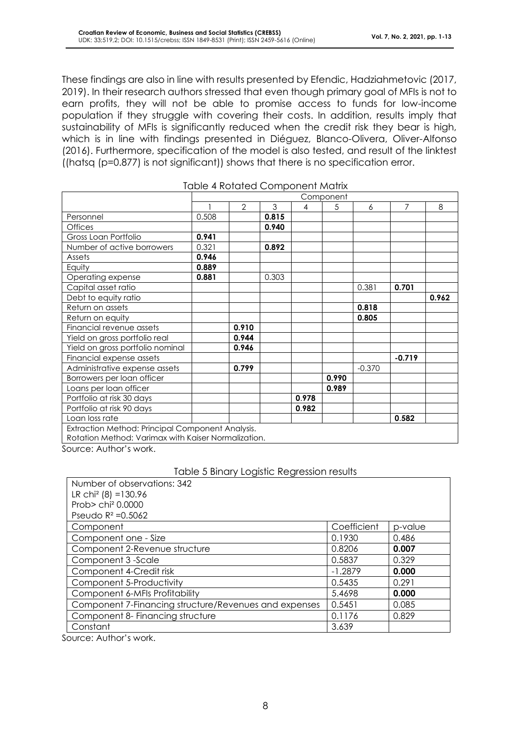These findings are also in line with results presented by Efendic, Hadziahmetovic (2017, 2019). In their research authors stressed that even though primary goal of MFIs is not to earn profits, they will not be able to promise access to funds for low-income population if they struggle with covering their costs. In addition, results imply that sustainability of MFIs is significantly reduced when the credit risk they bear is high, which is in line with findings presented in Diéguez, Blanco-Olivera, Oliver-Alfonso (2016). Furthermore, specification of the model is also tested, and result of the linktest ((hatsq (p=0.877) is not significant)) shows that there is no specification error.

|                                                                                                         |       |                |       |       | Component |          |          |       |
|---------------------------------------------------------------------------------------------------------|-------|----------------|-------|-------|-----------|----------|----------|-------|
|                                                                                                         |       | $\overline{2}$ | 3     | 4     | 5         | 6        | 7        | 8     |
| Personnel                                                                                               | 0.508 |                | 0.815 |       |           |          |          |       |
| <b>Offices</b>                                                                                          |       |                | 0.940 |       |           |          |          |       |
| Gross Loan Portfolio                                                                                    | 0.941 |                |       |       |           |          |          |       |
| Number of active borrowers                                                                              | 0.321 |                | 0.892 |       |           |          |          |       |
| Assets                                                                                                  | 0.946 |                |       |       |           |          |          |       |
| Equity                                                                                                  | 0.889 |                |       |       |           |          |          |       |
| Operating expense                                                                                       | 0.881 |                | 0.303 |       |           |          |          |       |
| Capital asset ratio                                                                                     |       |                |       |       |           | 0.381    | 0.701    |       |
| Debt to equity ratio                                                                                    |       |                |       |       |           |          |          | 0.962 |
| Return on assets                                                                                        |       |                |       |       |           | 0.818    |          |       |
| Return on equity                                                                                        |       |                |       |       |           | 0.805    |          |       |
| Financial revenue assets                                                                                |       | 0.910          |       |       |           |          |          |       |
| Yield on gross portfolio real                                                                           |       | 0.944          |       |       |           |          |          |       |
| Yield on gross portfolio nominal                                                                        |       | 0.946          |       |       |           |          |          |       |
| Financial expense assets                                                                                |       |                |       |       |           |          | $-0.719$ |       |
| Administrative expense assets                                                                           |       | 0.799          |       |       |           | $-0.370$ |          |       |
| Borrowers per loan officer                                                                              |       |                |       |       | 0.990     |          |          |       |
| Loans per loan officer                                                                                  |       |                |       |       | 0.989     |          |          |       |
| Portfolio at risk 30 days                                                                               |       |                |       | 0.978 |           |          |          |       |
| Portfolio at risk 90 days                                                                               |       |                |       | 0.982 |           |          |          |       |
| Loan loss rate                                                                                          |       |                |       |       |           |          | 0.582    |       |
| Extraction Method: Principal Component Analysis.<br>Rotation Method: Varimax with Kaiser Normalization. |       |                |       |       |           |          |          |       |

| <b>Table 4 Rotated Component Matrix</b> |
|-----------------------------------------|
|-----------------------------------------|

Source: Author's work.

#### Table 5 Binary Logistic Regression results

| Number of observations: 342                           |             |         |
|-------------------------------------------------------|-------------|---------|
| LR chi <sup>2</sup> (8) = 130.96                      |             |         |
| Prob> chi <sup>2</sup> 0.0000                         |             |         |
| Pseudo $R^2 = 0.5062$                                 |             |         |
| Component                                             | Coefficient | p-value |
| Component one - Size                                  | 0.1930      | 0.486   |
| Component 2-Revenue structure                         | 0.8206      | 0.007   |
| Component 3 -Scale                                    | 0.5837      | 0.329   |
| Component 4-Credit risk                               | $-1.2879$   | 0.000   |
| Component 5-Productivity                              | 0.5435      | 0.291   |
| Component 6-MFIs Profitability                        | 5.4698      | 0.000   |
| Component 7-Financing structure/Revenues and expenses | 0.5451      | 0.085   |
| Component 8- Financing structure                      | 0.1176      | 0.829   |
| Constant                                              | 3.639       |         |

Source: Author's work.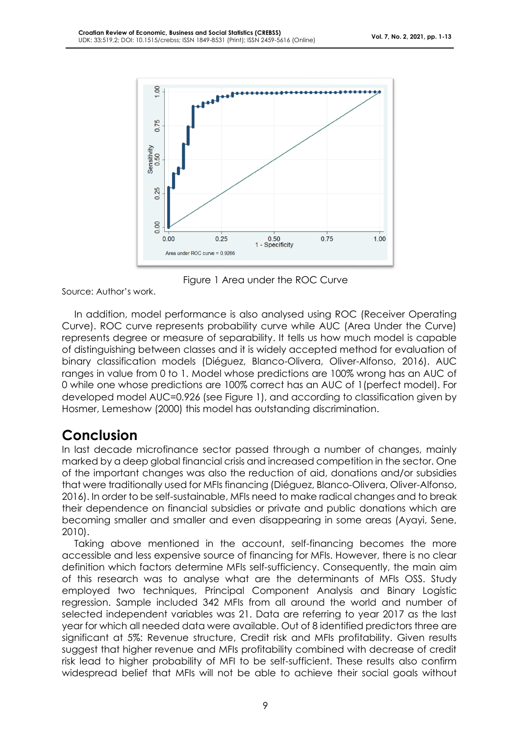

Figure 1 Area under the ROC Curve

Source: Author's work.

In addition, model performance is also analysed using ROC (Receiver Operating Curve). ROC curve represents probability curve while AUC (Area Under the Curve) represents degree or measure of separability. It tells us how much model is capable of distinguishing between classes and it is widely accepted method for evaluation of binary classification models (Diéguez, Blanco-Olivera, Oliver-Alfonso, 2016). AUC ranges in value from 0 to 1. Model whose predictions are 100% wrong has an AUC of 0 while one whose predictions are 100% correct has an AUC of 1(perfect model). For developed model AUC=0.926 (see Figure 1), and according to classification given by Hosmer, Lemeshow (2000) this model has outstanding discrimination.

### **Conclusion**

In last decade microfinance sector passed through a number of changes, mainly marked by a deep global financial crisis and increased competition in the sector. One of the important changes was also the reduction of aid, donations and/or subsidies that were traditionally used for MFIs financing (Diéguez, Blanco-Olivera, Oliver-Alfonso, 2016). In order to be self-sustainable, MFIs need to make radical changes and to break their dependence on financial subsidies or private and public donations which are becoming smaller and smaller and even disappearing in some areas (Ayayi, Sene, 2010).

Taking above mentioned in the account, self-financing becomes the more accessible and less expensive source of financing for MFIs. However, there is no clear definition which factors determine MFIs self-sufficiency. Consequently, the main aim of this research was to analyse what are the determinants of MFIs OSS. Study employed two techniques, Principal Component Analysis and Binary Logistic regression. Sample included 342 MFIs from all around the world and number of selected independent variables was 21. Data are referring to year 2017 as the last year for which all needed data were available. Out of 8 identified predictors three are significant at 5%: Revenue structure, Credit risk and MFIs profitability. Given results suggest that higher revenue and MFIs profitability combined with decrease of credit risk lead to higher probability of MFI to be self-sufficient. These results also confirm widespread belief that MFIs will not be able to achieve their social goals without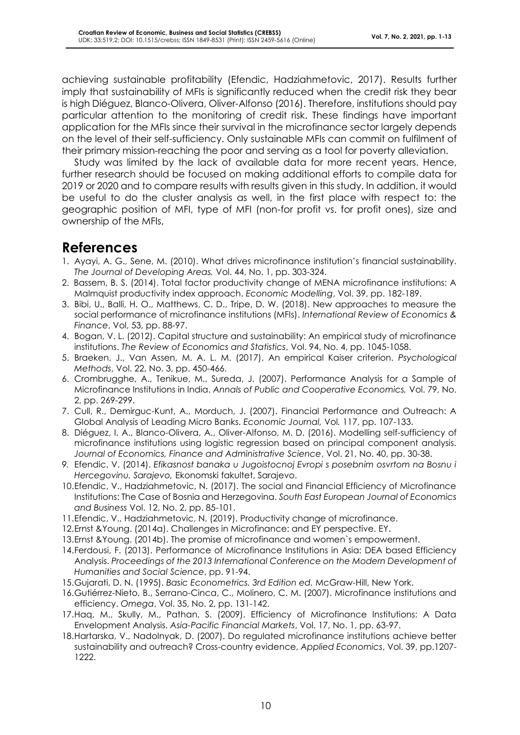achieving sustainable profitability (Efendic, Hadziahmetovic, 2017). Results further imply that sustainability of MFIs is significantly reduced when the credit risk they bear is high Diéguez, Blanco-Olivera, Oliver-Alfonso (2016). Therefore, institutions should pay particular attention to the monitoring of credit risk. These findings have important application for the MFIs since their survival in the microfinance sector largely depends on the level of their self-sufficiency. Only sustainable MFIs can commit on fulfilment of their primary mission-reaching the poor and serving as a tool for poverty alleviation.

Study was limited by the lack of available data for more recent years. Hence, further research should be focused on making additional efforts to compile data for 2019 or 2020 and to compare results with results given in this study. In addition, it would be useful to do the cluster analysis as well, in the first place with respect to: the geographic position of MFI, type of MFI (non-for profit vs. for profit ones), size and ownership of the MFIs,

### **References**

- 1. Ayayi, A. G., Sene, M. (2010). What drives microfinance institution's financial sustainability. *The Journal of Developing Areas,* Vol. 44, No. 1, pp. 303-324.
- 2. Bassem, B. S. (2014). Total factor productivity change of MENA microfinance institutions: A Malmquist productivity index approach. *Economic Modelling*, Vol. 39, pp. 182-189.
- 3. Bibi, U., Balli, H. O., Matthews, C. D., Tripe, D. W. (2018). New approaches to measure the social performance of microfinance institutions (MFIs). *International Review of Economics & Finance*, Vol, 53, pp. 88-97.
- 4. Bogan, V. L. (2012). Capital structure and sustainability: An empirical study of microfinance institutions. *The Review of Economics and Statistics*, Vol. 94, No. 4, pp. 1045-1058.
- 5. Braeken, J., Van Assen, M. A. L. M. (2017). An empirical Kaiser criterion. *Psychological Methods*, Vol. 22, No. 3, pp. 450-466.
- 6. Crombrugghe, A., Tenikue, M., Sureda, J. (2007). Performance Analysis for a Sample of Microfinance Institutions in India. *Annals of Public and Cooperative Economics,* Vol. 79, No. 2, pp. 269-299.
- 7. Cull, R., Demirguc-Kunt, A., Morduch, J. (2007). Financial Performance and Outreach: A Global Analysis of Leading Micro Banks. *Economic Journal,* Vol*.* 117, pp. 107-133.
- 8. Diéguez, I. A., Blanco-Olivera, A., Oliver-Alfonso, M. D. (2016). Modelling self-sufficiency of microfinance institutions using logistic regression based on principal component analysis. *Journal of Economics, Finance and Administrative Science*, Vol. 21, No. 40, pp. 30-38.
- *9.* Efendic, V. (2014). *Efikasnost banaka u Jugoistocnoj Evropi s posebnim osvrtom na Bosnu i Hercegovinu. Sarajevo,* Ekonomski fakultet, Sarajevo.
- 10.Efendic, V., Hadziahmetovic, N. (2017). The social and Financial Efficiency of Microfinance Institutions: The Case of Bosnia and Herzegovina. *South East European Journal of Economics and Business* Vol. 12, No. 2, pp. 85-101.
- 11.Efendic, V., Hadziahmetovic, N. (2019). Productivity change of microfinance.
- 12.Ernst &Young. (2014a). Challenges in Microfinance: and EY perspective. EY.
- 13.Ernst &Young. (2014b). The promise of microfinance and women`s empowerment.
- 14.Ferdousi, F. (2013). Performance of Microfinance Institutions in Asia: DEA based Efficiency Analysis. *Proceedings of the 2013 International Conference on the Modern Development of Humanities and Social Science*, pp. 91-94.
- 15.Gujarati, D. N. (1995). *Basic Econometrics. 3rd Edition ed.* McGraw-Hill, New York.
- 16.Gutiérrez-Nieto, B., Serrano-Cinca, C., Molinero, C. M. (2007). Microfinance institutions and efficiency. *Omega*, Vol. 35, No. 2, pp. 131-142.
- 17.Haq, M., Skully, M., Pathan, S. (2009). Efficiency of Microfinance Institutions: A Data Envelopment Analysis. *Asia-Pacific Financial Markets*, Vol. 17, No. 1, pp. 63-97.
- 18.Hartarska, V., Nadolnyak, D. (2007). Do regulated microfinance institutions achieve better sustainability and outreach? Cross-country evidence, *Applied Economics*, Vol. 39, pp.1207- 1222.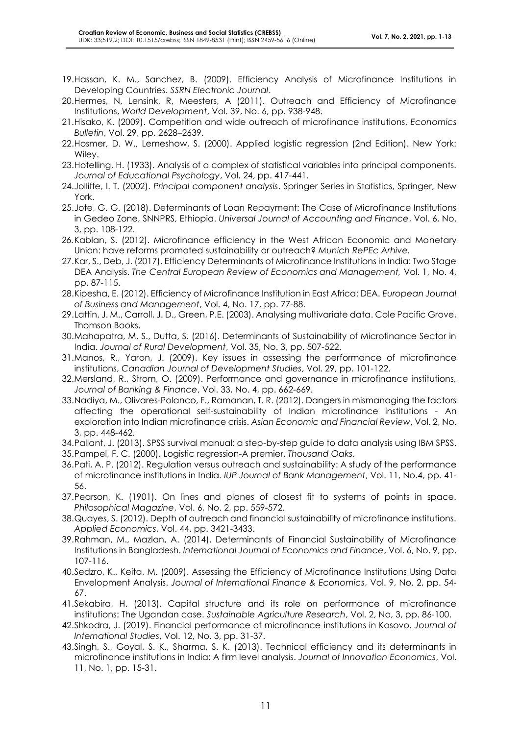- 19.Hassan, K. M., Sanchez, B. (2009). Efficiency Analysis of Microfinance Institutions in Developing Countries. *SSRN Electronic Journal*.
- 20.Hermes, N, Lensink, R, Meesters, A (2011). Outreach and Efficiency of Microfinance Institutions, *World Development*, Vol. 39, No. 6, pp. 938-948.
- 21.Hisako, K. (2009). Competition and wide outreach of microfinance institutions, *Economics Bulletin*, Vol. 29, pp. 2628–2639.
- 22.Hosmer, D. W., Lemeshow, S. (2000). Applied logistic regression (2nd Edition). New York: Wiley.
- 23.Hotelling, H. (1933). Analysis of a complex of statistical variables into principal components. *Journal of Educational Psychology*, Vol. 24, pp. 417-441.
- 24.Jolliffe, I. T. (2002). *Principal component analysis*. Springer Series in Statistics, Springer, New York.
- 25.Jote, G. G. (2018). Determinants of Loan Repayment: The Case of Microfinance Institutions in Gedeo Zone, SNNPRS, Ethiopia. *Universal Journal of Accounting and Finance*, Vol. 6, No. 3, pp. 108-122.
- *26.*Kablan, S. (2012). Microfinance efficiency in the West African Economic and Monetary Union: have reforms promoted sustainability or outreach? *Munich RePEc Arhive.*
- 27.Kar, S., Deb, J. (2017). Efficiency Determinants of Microfinance Institutions in India: Two Stage DEA Analysis. *The Central European Review of Economics and Management,* Vol. 1, No. 4, pp. 87-115.
- 28.Kipesha, E. (2012). Efficiency of Microfinance Institution in East Africa: DEA*. European Journal of Business and Management*, Vol. 4, No. 17, pp. 77-88.
- 29.Lattin, J. M., Carroll, J. D., Green, P.E. (2003). Analysing multivariate data. Cole Pacific Grove, Thomson Books.
- 30.Mahapatra, M. S., Dutta, S. (2016). Determinants of Sustainability of Microfinance Sector in India. *Journal of Rural Development*, Vol. 35, No. 3, pp. 507-522.
- 31.Manos, R., Yaron, J. (2009). Key issues in assessing the performance of microfinance institutions, *Canadian Journal of Development Studies*, Vol. 29, pp. 101-122.
- 32.Mersland, R., Strom, O. (2009). Performance and governance in microfinance institutions*, Journal of Banking & Finance*, Vol. 33, No. 4, pp. 662-669.
- 33.Nadiya, M., Olivares-Polanco, F., Ramanan, T. R. (2012). Dangers in mismanaging the factors affecting the operational self-sustainability of Indian microfinance institutions - An exploration into Indian microfinance crisis. *Asian Economic and Financial Review*, Vol. 2, No. 3, pp. 448-462.
- 34.Pallant, J. (2013). SPSS survival manual: a step-by-step guide to data analysis using IBM SPSS.
- 35.Pampel, F. C. (2000). Logistic regression-A premier. *Thousand Oaks.*
- 36.Pati, A. P. (2012). Regulation versus outreach and sustainability: A study of the performance of microfinance institutions in India. *IUP Journal of Bank Management*, Vol. 11, No.4, pp. 41- 56.
- 37.Pearson, K. (1901). On lines and planes of closest fit to systems of points in space. *Philosophical Magazine*, Vol. 6, No. 2, pp. 559-572.
- 38.Quayes, S. (2012). Depth of outreach and financial sustainability of microfinance institutions. *Applied Economics*, Vol. 44, pp. 3421-3433.
- 39.Rahman, M., Mazlan, A. (2014). Determinants of Financial Sustainability of Microfinance Institutions in Bangladesh. *International Journal of Economics and Finance*, Vol. 6, No. 9, pp. 107-116.
- 40.Sedzro, K., Keita, M. (2009). Assessing the Efficiency of Microfinance Institutions Using Data Envelopment Analysis. *Journal of International Finance & Economics*, Vol. 9, No. 2, pp. 54- 67.
- 41.Sekabira, H. (2013). Capital structure and its role on performance of microfinance institutions: The Ugandan case. *Sustainable Agriculture Research*, Vol. 2, No, 3, pp. 86-100.
- 42.Shkodra, J. (2019). Financial performance of microfinance institutions in Kosovo. *Journal of International Studies*, Vol. 12, No. 3, pp. 31-37.
- 43.Singh, S., Goyal, S. K., Sharma, S. K. (2013). Technical efficiency and its determinants in microfinance institutions in India: A firm level analysis. *Journal of Innovation Economics*, Vol. 11, No. 1, pp. 15-31.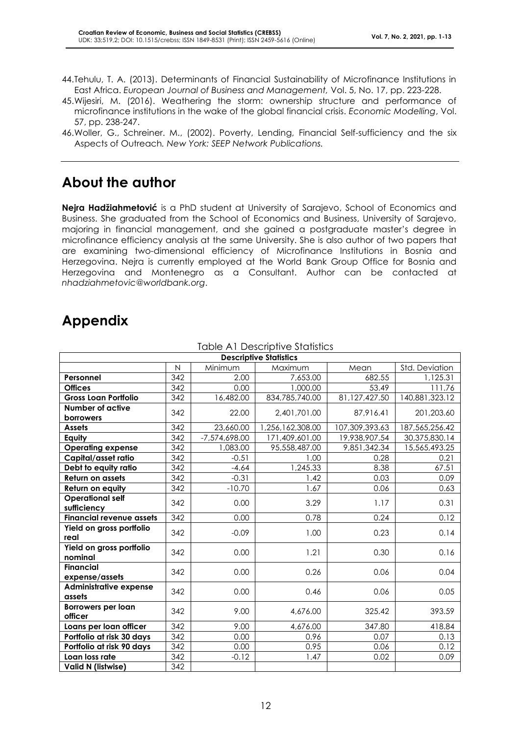- 44.Tehulu, T. A. (2013). Determinants of Financial Sustainability of Microfinance Institutions in East Africa. *European Journal of Business and Management,* Vol. 5, No. 17, pp. 223-228.
- 45.Wijesiri, M. (2016). Weathering the storm: ownership structure and performance of microfinance institutions in the wake of the global financial crisis. *Economic Modelling*, Vol. 57, pp. 238-247.
- 46.Woller, G., Schreiner. M., (2002). Poverty, Lending, Financial Self-sufficiency and the six Aspects of Outreach*. New York: SEEP Network Publications.*

## **About the author**

**Nejra Hadžiahmetović** is a PhD student at University of Sarajevo, School of Economics and Business. She graduated from the School of Economics and Business, University of Sarajevo, majoring in financial management, and she gained a postgraduate master's degree in microfinance efficiency analysis at the same University. She is also author of two papers that are examining two-dimensional efficiency of Microfinance Institutions in Bosnia and Herzegovina. Nejra is currently employed at the World Bank Group Office for Bosnia and Herzegovina and Montenegro as a Consultant. Author can be contacted at *nhadziahmetovic@worldbank.org*.

# **Appendix**

| <b>Descriptive Statistics</b>           |                   |                 |                  |                |                |  |
|-----------------------------------------|-------------------|-----------------|------------------|----------------|----------------|--|
|                                         | N                 | Minimum         | Maximum          | Mean           | Std. Deviation |  |
| Personnel                               | 342               | 2.00            | 7,653.00         | 682.55         | 1,125.31       |  |
| <b>Offices</b>                          | 342               | 0.00            | 1,000.00         | 53.49          | 111.76         |  |
| <b>Gross Loan Portfolio</b>             | 342               | 16,482.00       | 834,785,740.00   | 81,127,427.50  | 140,881,323.12 |  |
| <b>Number of active</b><br>borrowers    | 342               | 22.00           | 2,401,701.00     | 87,916.41      | 201,203.60     |  |
| <b>Assets</b>                           | 342               | 23,660.00       | 1,256,162,308.00 | 107,309,393.63 | 187,565,256.42 |  |
| Equity                                  | $\overline{3}$ 42 | $-7,574,698.00$ | 171,409,601.00   | 19,938,907.54  | 30,375,830.14  |  |
| <b>Operating expense</b>                | 342               | 1,083.00        | 95,558,487.00    | 9,851,342.34   | 15,565,493.25  |  |
| Capital/asset ratio                     | 342               | $-0.51$         | 1.00             | 0.28           | 0.21           |  |
| Debt to equity ratio                    | 342               | $-4.64$         | 1,245.33         | 8.38           | 67.51          |  |
| <b>Return on assets</b>                 | 342               | $-0.31$         | 1.42             | 0.03           | 0.09           |  |
| Return on equity                        | 342               | $-10.70$        | 1.67             | 0.06           | 0.63           |  |
| <b>Operational self</b><br>sufficiency  | 342               | 0.00            | 3.29             | 1.17           | 0.31           |  |
| <b>Financial revenue assets</b>         | 342               | 0.00            | 0.78             | 0.24           | 0.12           |  |
| Yield on gross portfolio<br>real        | 342               | $-0.09$         | 1.00             | 0.23           | 0.14           |  |
| Yield on gross portfolio<br>nominal     | 342               | 0.00            | 1.21             | 0.30           | 0.16           |  |
| <b>Financial</b><br>expense/assets      | 342               | 0.00            | 0.26             | 0.06           | 0.04           |  |
| <b>Administrative expense</b><br>assets | 342               | 0.00            | 0.46             | 0.06           | 0.05           |  |
| <b>Borrowers per loan</b><br>officer    | 342               | 9.00            | 4,676.00         | 325.42         | 393.59         |  |
| Loans per loan officer                  | 342               | 9.00            | 4,676.00         | 347.80         | 418.84         |  |
| Portfolio at risk 30 days               | 342               | 0.00            | 0.96             | 0.07           | 0.13           |  |
| Portfolio at risk 90 days               | 342               | 0.00            | 0.95             | 0.06           | 0.12           |  |
| Loan loss rate                          | 342               | $-0.12$         | 1.47             | 0.02           | 0.09           |  |
| Valid N (listwise)                      | 342               |                 |                  |                |                |  |

#### Table A1 Descriptive Statistics